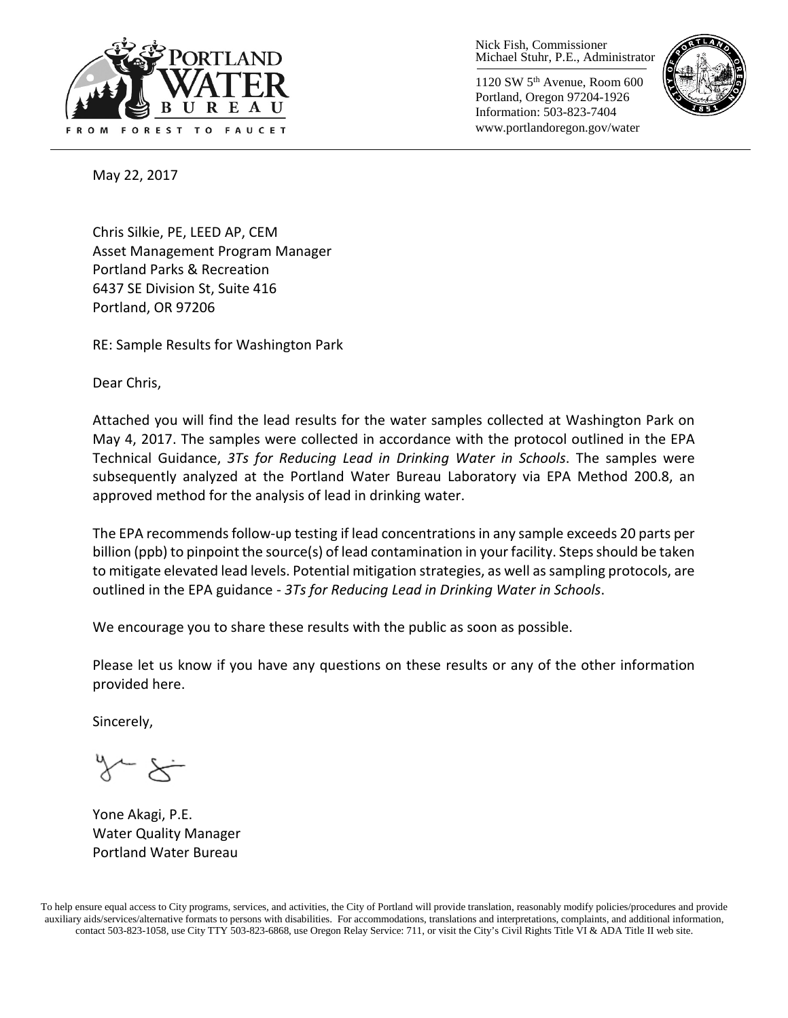

Nick Fish, Commissioner Michael Stuhr, P.E., Administrator

1120 SW 5th Avenue, Room 600 Portland, Oregon 97204-1926 Information: 503-823-7404 www.portlandoregon.gov/water



May 22, 2017

Chris Silkie, PE, LEED AP, CEM Asset Management Program Manager Portland Parks & Recreation 6437 SE Division St, Suite 416 Portland, OR 97206

RE: Sample Results for Washington Park

Dear Chris,

Attached you will find the lead results for the water samples collected at Washington Park on May 4, 2017. The samples were collected in accordance with the protocol outlined in the EPA Technical Guidance, *3Ts for Reducing Lead in Drinking Water in Schools*. The samples were subsequently analyzed at the Portland Water Bureau Laboratory via EPA Method 200.8, an approved method for the analysis of lead in drinking water.

The EPA recommends follow-up testing if lead concentrations in any sample exceeds 20 parts per billion (ppb) to pinpoint the source(s) of lead contamination in your facility. Steps should be taken to mitigate elevated lead levels. Potential mitigation strategies, as well as sampling protocols, are outlined in the EPA guidance - *3Ts for Reducing Lead in Drinking Water in Schools*.

We encourage you to share these results with the public as soon as possible.

Please let us know if you have any questions on these results or any of the other information provided here.

Sincerely,

Yone Akagi, P.E. Water Quality Manager Portland Water Bureau

To help ensure equal access to City programs, services, and activities, the City of Portland will provide translation, reasonably modify policies/procedures and provide auxiliary aids/services/alternative formats to persons with disabilities. For accommodations, translations and interpretations, complaints, and additional information, contact 503-823-1058, use City TTY 503-823-6868, use Oregon Relay Service: 711, or visi[t the City's Civil Rights Title VI & ADA Title II web site.](http://www.portlandoregon.gov/oehr/66458)